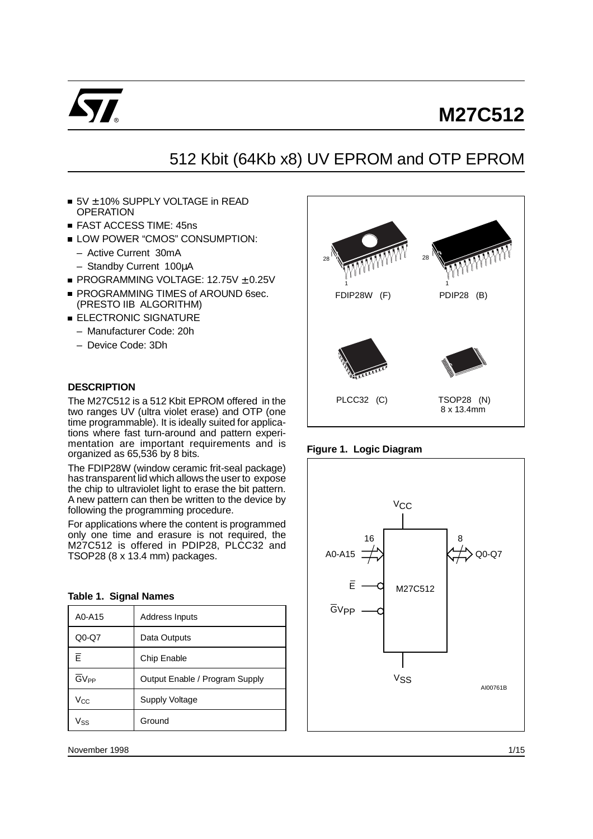

# **M27C512**

## 512 Kbit (64Kb x8) UV EPROM and OTP EPROM

- $\blacksquare$  5V  $\pm$  10% SUPPLY VOLTAGE in READ **OPERATION**
- **FAST ACCESS TIME: 45ns**
- **LOW POWER "CMOS" CONSUMPTION:** 
	- Active Current 30mA
	- Standby Current 100µA
- $\blacksquare$  PROGRAMMING VOLTAGE: 12.75V  $\pm$  0.25V
- **PROGRAMMING TIMES of AROUND 6sec.** (PRESTO IIB ALGORITHM)
- **ELECTRONIC SIGNATURE** 
	- Manufacturer Code: 20h
	- Device Code: 3Dh

#### **DESCRIPTION**

The M27C512 is a 512 Kbit EPROM offered in the two ranges UV (ultra violet erase) and OTP (one time programmable). It is ideally suited for applications where fast turn-around and pattern experimentation are important requirements and is organized as 65,536 by 8 bits.

The FDIP28W (window ceramic frit-seal package) has transparent lid which allows the user to expose the chip to ultraviolet light to erase the bit pattern. A new pattern can then be written to the device by following the programming procedure.

For applications where the content is programmed only one time and erasure is not required, the M27C512 is offered in PDIP28, PLCC32 and TSOP28 (8 x 13.4 mm) packages.

| A0-A15           | <b>Address Inputs</b>          |
|------------------|--------------------------------|
| Q0-Q7            | Data Outputs                   |
| E                | Chip Enable                    |
| GV <sub>PP</sub> | Output Enable / Program Supply |
| Vcc              | <b>Supply Voltage</b>          |
| $V_{SS}$         | Ground                         |

**Table 1. Signal Names**





**Figure 1. Logic Diagram**

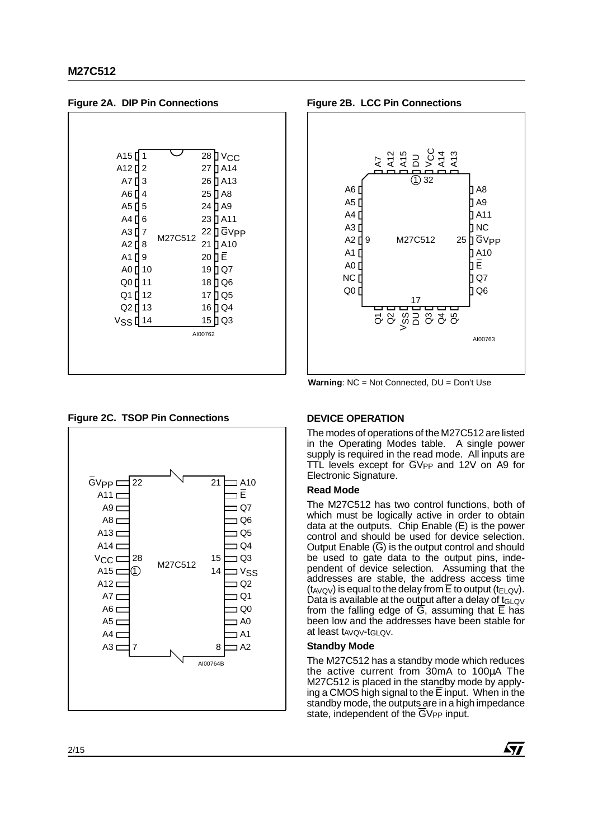A1 [] 9 A0 **[**] 10 Q0 [] 11 A7 [] 3  $A4$ A3 [] 7  $A2$ <sup>18</sup> A6 [] 4 A5 $\mathsf{\Pi}$ 26 **]** A13 21 **]** A10 25 [] A8 24 | A9 19 ∏ Q7 27 **]** A14 23 **]** A11 22 ]] GV<sub>PP</sub> 20 ∐ E Q1 [] 12 17 [] Q5 Q2 [] 13 V<sub>SS</sub> [<mark>14 15</mark> ] Q3 16 ∏ Q4 18 ∏ Q6 A12 [] 2 A15 [| 1 ∪ 28 ] V<sub>CC</sub> AI00762 M27C512 A<sub>15</sub> $1$ 5 6  $Q1$  12 15 D Q 3

**Figure 2A. DIP Pin Connections**

#### **Figure 2C. TSOP Pin Connections DEVICE OPERATION**



**Figure 2B. LCC Pin Connections**



**Warning**: NC = Not Connected, DU = Don't Use

The modes of operations of the M27C512 are listed in the Operating Modes table. A single power supply is required in the read mode. All inputs are TTL levels except for  $\overline{G}V_{PP}$  and 12V on A9 for Electronic Signature.

#### **Read Mode**

The M27C512 has two control functions, both of which must be logically active in order to obtain data at the outputs. Chip Enable  $(\overline{E})$  is the power control and should be used for device selection. Output Enable  $(\overline{G})$  is the output control and should be used to gate data to the output pins, independent of device selection. Assuming that the addresses are stable, the address access time (t<sub>AVQV</sub>) is equal to the delay from  $\overline{E}$  to output (t<sub>ELQV</sub>). Data is available at the output after a delay of tGLQV from the falling edge of  $\overline{G}$ , assuming that  $\overline{E}$  has been low and the addresses have been stable for at least tAvov-tGLQV.

#### **Standby Mode**

The M27C512 has a standby mode which reduces the active current from 30mA to 100µA The M27C512 is placed in the standby mode by applying a CMOS high signal to the  $\overline{E}$  input. When in the standby mode, the outputs are in a high impedance state, independent of the  $\overline{G}V_{PP}$  input.

*st*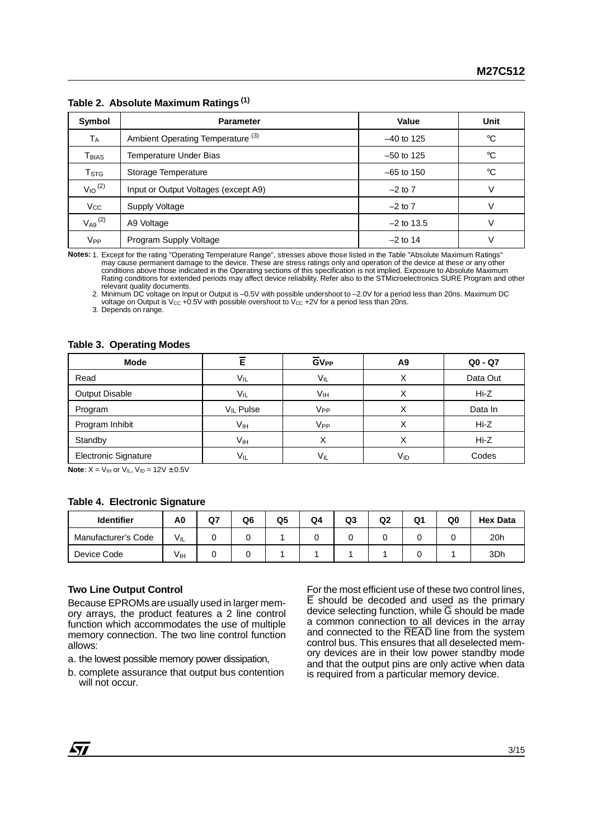|  | Table 2. Absolute Maximum Ratings <sup>(1)</sup> |  |
|--|--------------------------------------------------|--|
|--|--------------------------------------------------|--|

| Symbol                       | <b>Parameter</b>                             | Value        | Unit        |
|------------------------------|----------------------------------------------|--------------|-------------|
| ТA                           | Ambient Operating Temperature <sup>(3)</sup> | $-40$ to 125 | $^{\circ}C$ |
| $\mathsf{T}_{\mathsf{BIAS}}$ | Temperature Under Bias                       | $-50$ to 125 | °€          |
| $T_{\mathtt{STG}}$           | Storage Temperature                          | $-65$ to 150 | $^{\circ}C$ |
| $V_{10}$ <sup>(2)</sup>      | Input or Output Voltages (except A9)         | $-2$ to $7$  | v           |
| $V_{CC}$                     | Supply Voltage                               | $-2$ to $7$  | v           |
| $V_{A9}$ <sup>(2)</sup>      | A9 Voltage                                   | $-2$ to 13.5 | V           |
| V <sub>PP</sub>              | Program Supply Voltage                       | $-2$ to 14   |             |

**Notes:** 1. Except for the rating "Operating Temperature Range", stresses above those listed in the Table "Absolute Maximum Ratings" may cause permanent damage to the device. These are stress ratings only and operation of the device at these or any other conditions above those indicated in the Operating sections of this specification is not implied. Exposure to Absolute Maximum Rating conditions for extended periods may affect device reliability. Refer also to the STMicroelectronics SURE Program and other relevant quality documents.

2. Minimum DC voltage on Input or Output is –0.5V with possible undershoot to –2.0V for a period less than 20ns. Maximum DC voltage on Output is  $V_{\text{CC}} + 0.5V$  with possible overshoot to  $V_{\text{CC}} + 2V$  for a period less than 20ns.

3. Depends on range.

#### **Table 3. Operating Modes**

| <b>Mode</b>                 | E               | $GV_{PP}$ | A9       | $Q0 - Q7$ |
|-----------------------------|-----------------|-----------|----------|-----------|
| Read                        | $V_{IL}$        | VIL       | ↗        | Data Out  |
| <b>Output Disable</b>       | VIL             | Vıн       |          | Hi-Z      |
| Program                     | $V_{IL}$ Pulse  | Vpp       |          | Data In   |
| Program Inhibit             | V <sub>IH</sub> | Vpp       |          | Hi-Z      |
| Standby                     | V <sub>IH</sub> | ⋏         |          | Hi-Z      |
| <b>Electronic Signature</b> | $V_{IL}$        | VIL       | $V_{ID}$ | Codes     |

**Note:**  $X = V_{IH}$  or  $V_{IL}$ ,  $V_{ID} = 12V \pm 0.5V$ 

#### **Table 4. Electronic Signature**

| <b>Identifier</b>   | A0       | Q7 | Q6 | Q5 | Q4 | Q3 | Q2 | Q1 | Q0 | <b>Hex Data</b> |
|---------------------|----------|----|----|----|----|----|----|----|----|-----------------|
| Manufacturer's Code | $V_{IL}$ |    |    |    |    |    |    |    |    | 20h             |
| Device Code         | Vıн      |    |    |    |    |    |    |    |    | 3Dh             |

#### **Two Line Output Control**

Because EPROMs are usually used in larger memory arrays, the product features a 2 line control function which accommodates the use of multiple memory connection. The two line control function allows:

a. the lowest possible memory power dissipation,

b. complete assurance that output bus contention will not occur.

For the most efficient use of these two control lines, E should be decoded and used as the primary device selecting function, while  $\overline{G}$  should be made a common connection to all devices in the array and connected to the READ line from the system control bus. This ensures that all deselected memory devices are in their low power standby mode and that the output pins are only active when data is required from a particular memory device.

 $\sqrt{27}$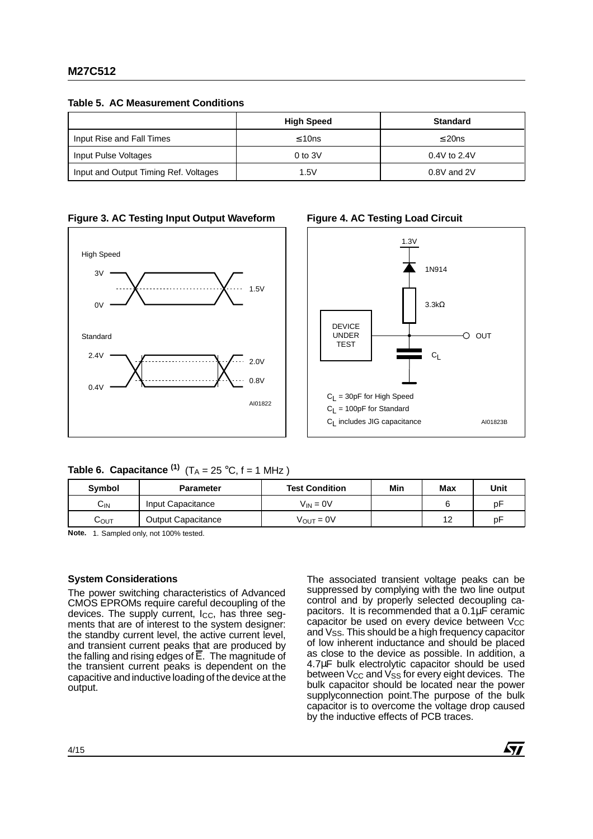**Table 5. AC Measurement Conditions**

|                                       | <b>High Speed</b> | <b>Standard</b> |
|---------------------------------------|-------------------|-----------------|
| Input Rise and Fall Times             | $\leq 10$ ns      | $\leq$ 20ns     |
| Input Pulse Voltages                  | $0$ to $3V$       | $0.4V$ to 2.4V  |
| Input and Output Timing Ref. Voltages | 1.5V              | $0.8V$ and $2V$ |







#### **Table 6. Capacitance**  $(1)$   $(T_A = 25 \degree C, f = 1 \text{ MHz})$

| Symbol | <b>Parameter</b>          | <b>Test Condition</b> | Min | Max | Unit |
|--------|---------------------------|-----------------------|-----|-----|------|
| Сıм    | Input Capacitance         | $V_{IN} = 0V$         |     |     | рF   |
| COUT   | <b>Output Capacitance</b> | $V_{\text{OUT}} = 0V$ |     | 12  | рF   |

**Note.** 1. Sampled only, not 100% tested.

#### **System Considerations**

The power switching characteristics of Advanced CMOS EPROMs require careful decoupling of the devices. The supply current, Icc, has three segments that are of interest to the system designer: the standby current level, the active current level, and transient current peaks that are produced by the falling and rising edges of E. The magnitude of the transient current peaks is dependent on the capacitive and inductive loading of the device at the output.

The associated transient voltage peaks can be suppressed by complying with the two line output control and by properly selected decoupling capacitors. It is recommended that a 0.1µF ceramic capacitor be used on every device between Vcc and V<sub>SS</sub>. This should be a high frequency capacitor of low inherent inductance and should be placed as close to the device as possible. In addition, a 4.7µF bulk electrolytic capacitor should be used between V<sub>CC</sub> and V<sub>SS</sub> for every eight devices. The bulk capacitor should be located near the power supplyconnection point.The purpose of the bulk capacitor is to overcome the voltage drop caused by the inductive effects of PCB traces.

*ky*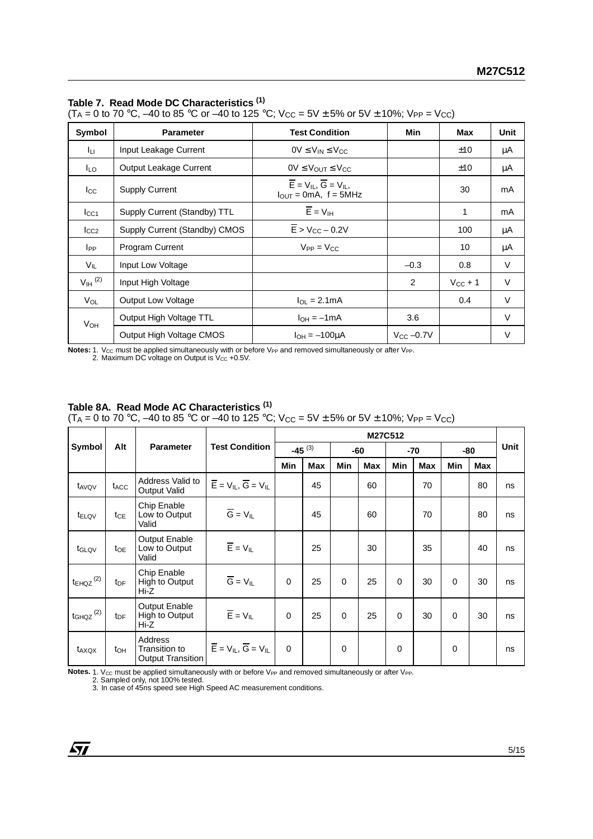#### **Table 7. Read Mode DC Characteristics (1)**

 $(T_A = 0 \text{ to } 70 \text{ °C}, -40 \text{ to } 85 \text{ °C} \text{ or } -40 \text{ to } 125 \text{ °C}; V_{CC} = 5V \pm 5\% \text{ or } 5V \pm 10\%; V_{PP} = V_{CC}$ 

| Symbol                | <b>Parameter</b>              | <b>Test Condition</b>                                                                                              | Min            | Max          | Unit |
|-----------------------|-------------------------------|--------------------------------------------------------------------------------------------------------------------|----------------|--------------|------|
| Iцг                   | Input Leakage Current         | $0V \leq V_{IN} \leq V_{CC}$                                                                                       |                | ±10          | μA   |
| <b>ILO</b>            | <b>Output Leakage Current</b> | $0V \leq V_{\text{OUT}} \leq V_{\text{CC}}$                                                                        |                | ±10          | μA   |
| $_{\rm lcc}$          | <b>Supply Current</b>         | $\overline{E}$ = V <sub>IL</sub> , $\overline{G}$ = V <sub>IL</sub> ,<br>$I_{\text{OUT}} = 0 \text{mA}$ , f = 5MHz |                | 30           | mA   |
| $I_{\rm CC1}$         | Supply Current (Standby) TTL  | $\overline{E}$ = $V_{IH}$                                                                                          |                | 1            | mA   |
| $I_{CC2}$             | Supply Current (Standby) CMOS | $\overline{E}$ > V <sub>CC</sub> – 0.2V                                                                            |                | 100          | μA   |
| <b>I</b> pp           | Program Current               | $V_{PP} = V_{CC}$                                                                                                  |                | 10           | μA   |
| $V_{IL}$              | Input Low Voltage             |                                                                                                                    | $-0.3$         | 0.8          | V    |
| $V_{\text{IH}}^{(2)}$ | Input High Voltage            |                                                                                                                    | 2              | $V_{CC}$ + 1 | V    |
| $V_{OL}$              | <b>Output Low Voltage</b>     | $I_{\Omega I} = 2.1 \text{mA}$                                                                                     |                | 0.4          | V    |
| <b>V<sub>OH</sub></b> | Output High Voltage TTL       | $I_{OH} = -1mA$                                                                                                    | 3.6            |              | V    |
|                       | Output High Voltage CMOS      | $I_{OH} = -100 \mu A$                                                                                              | $V_{CC}$ -0.7V |              | v    |

Notes: 1. V<sub>CC</sub> must be applied simultaneously with or before V<sub>PP</sub> and removed simultaneously or after V<sub>PP</sub>.<br>2. Maximum DC voltage on Output is V<sub>CC</sub> +0.5V.

#### **Table 8A. Read Mode AC Characteristics (1)**

 $(T_A = 0 \text{ to } 70 \text{ °C}, -40 \text{ to } 85 \text{ °C} \text{ or } -40 \text{ to } 125 \text{ °C}; V_{CC} = 5V \pm 5\% \text{ or } 5V \pm 10\%; V_{PP} = V_{CC}$ 

|                           |                  |                                                      |                                                       | M27C512  |             |            |            |          |     |          |            |      |
|---------------------------|------------------|------------------------------------------------------|-------------------------------------------------------|----------|-------------|------------|------------|----------|-----|----------|------------|------|
| Symbol                    | Alt              | <b>Parameter</b>                                     | <b>Test Condition</b>                                 |          | $-45^{(3)}$ |            | -60        |          | -70 |          | -80        | Unit |
|                           |                  |                                                      |                                                       | Min      | <b>Max</b>  | <b>Min</b> | <b>Max</b> | Min      | Max | Min      | <b>Max</b> |      |
| t <sub>AVQV</sub>         | t <sub>ACC</sub> | Address Valid to<br>Output Valid                     | $\overline{E}$ = $V_{IL}$ , $\overline{G}$ = $V_{IL}$ |          | 45          |            | 60         |          | 70  |          | 80         | ns   |
| t <sub>ELQV</sub>         | $t_{CE}$         | Chip Enable<br>Low to Output<br>Valid                | $\overline{G} = V_{IL}$                               |          | 45          |            | 60         |          | 70  |          | 80         | ns   |
| t <sub>GLQV</sub>         | toe              | <b>Output Enable</b><br>Low to Output<br>Valid       | $\overline{E}$ = $V_{IL}$                             |          | 25          |            | 30         |          | 35  |          | 40         | ns   |
| $t_{EHQZ}$ <sup>(2)</sup> | t <sub>DF</sub>  | Chip Enable<br>High to Output<br>Hi-Z                | $\overline{G} = V_{IL}$                               | $\Omega$ | 25          | $\Omega$   | 25         | $\Omega$ | 30  | $\Omega$ | 30         | ns   |
| $t$ GHQZ $^{(2)}$         | t <sub>DF</sub>  | Output Enable<br>High to Output<br>Hi-Z              | $\overline{E}$ = $V_{IL}$                             | $\Omega$ | 25          | $\Omega$   | 25         | $\Omega$ | 30  | $\Omega$ | 30         | ns   |
| t <sub>AXQX</sub>         | t <sub>OH</sub>  | Address<br><b>Transition to</b><br>Output Transition | $\overline{E}$ = $V_{II}$ , $\overline{G}$ = $V_{II}$ | $\Omega$ |             | 0          |            | 0        |     | 0        |            | ns   |

Notes. 1. V<sub>CC</sub> must be applied simultaneously with or before V<sub>PP</sub> and removed simultaneously or after V<sub>PP</sub>.<br>2. Sampled only, not 100% tested.<br>3. In case of 45ns speed see High Speed AC measurement conditions.

 $\sqrt{27}$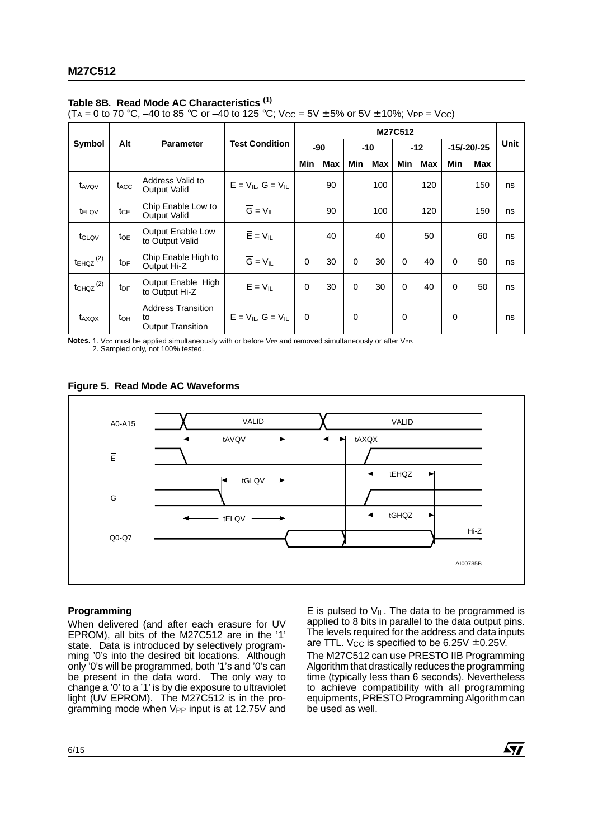#### **Table 8B. Read Mode AC Characteristics (1)**

 $(T_A = 0 \text{ to } 70 \text{ °C}, -40 \text{ to } 85 \text{ °C} \text{ or } -40 \text{ to } 125 \text{ °C};$   $V_{CC} = 5V \pm 5\% \text{ or } 5V \pm 10\%$ ;  $V_{PP} = V_{CC}$ )

|                           |                  |                                                             |                                                       | M27C512  |            |          |            |          |            |               |            |      |
|---------------------------|------------------|-------------------------------------------------------------|-------------------------------------------------------|----------|------------|----------|------------|----------|------------|---------------|------------|------|
| Symbol                    | Alt              | <b>Parameter</b>                                            | <b>Test Condition</b>                                 |          | -90        |          | -10        |          | $-12$      | $-15/-20/-25$ |            | Unit |
|                           |                  |                                                             |                                                       | Min      | <b>Max</b> | Min      | <b>Max</b> | Min      | <b>Max</b> | Min           | <b>Max</b> |      |
| t <sub>AVQV</sub>         | t <sub>ACC</sub> | Address Valid to<br>Output Valid                            | $\overline{E}$ = $V_{IL}$ , $\overline{G}$ = $V_{IL}$ |          | 90         |          | 100        |          | 120        |               | 150        | ns   |
| t <sub>ELQV</sub>         | tce              | Chip Enable Low to<br><b>Output Valid</b>                   | $\overline{G} = V_{IL}$                               |          | 90         |          | 100        |          | 120        |               | 150        | ns   |
| t <sub>GLQV</sub>         | $t_{OE}$         | Output Enable Low<br>to Output Valid                        | $\overline{E}$ = $V_{IL}$                             |          | 40         |          | 40         |          | 50         |               | 60         | ns   |
| $t_{EHQZ}$ <sup>(2)</sup> | t <sub>DF</sub>  | Chip Enable High to<br>Output Hi-Z                          | $\overline{G} = V_{IL}$                               | $\Omega$ | 30         | $\Omega$ | 30         | $\Omega$ | 40         | $\Omega$      | 50         | ns   |
| $t_{GHQZ}$ <sup>(2)</sup> | t <sub>DF</sub>  | Output Enable High<br>to Output Hi-Z                        | $\overline{E}$ = $V_{IL}$                             | $\Omega$ | 30         | $\Omega$ | 30         | $\Omega$ | 40         | $\Omega$      | 50         | ns   |
| t <sub>AXQX</sub>         | t <sub>OH</sub>  | <b>Address Transition</b><br>to<br><b>Output Transition</b> | $\overline{E}$ = $V_{IL}$ , $\overline{G}$ = $V_{IL}$ | $\Omega$ |            | 0        |            | 0        |            | $\Omega$      |            | ns   |

Notes. 1. V<sub>cc</sub> must be applied simultaneously with or before V<sub>PP</sub> and removed simultaneously or after V<sub>PP</sub>.

2. Sampled only, not 100% tested.

**Figure 5. Read Mode AC Waveforms**



#### **Programming**

When delivered (and after each erasure for UV EPROM), all bits of the M27C512 are in the '1' state. Data is introduced by selectively programming '0's into the desired bit locations. Although only '0's will be programmed, both '1's and '0's can be present in the data word. The only way to change a '0' to a '1' is by die exposure to ultraviolet light (UV EPROM). The M27C512 is in the programming mode when V<sub>PP</sub> input is at 12.75V and

 $\overline{E}$  is pulsed to  $V_{I}L$ . The data to be programmed is applied to 8 bits in parallel to the data output pins. The levels required for the address and data inputs are TTL. V<sub>CC</sub> is specified to be  $6.25V \pm 0.25V$ .

The M27C512 can use PRESTO IIB Programming Algorithm that drastically reduces the programming time (typically less than 6 seconds). Nevertheless to achieve compatibility with all programming equipments, PRESTO Programming Algorithm can be used as well.

57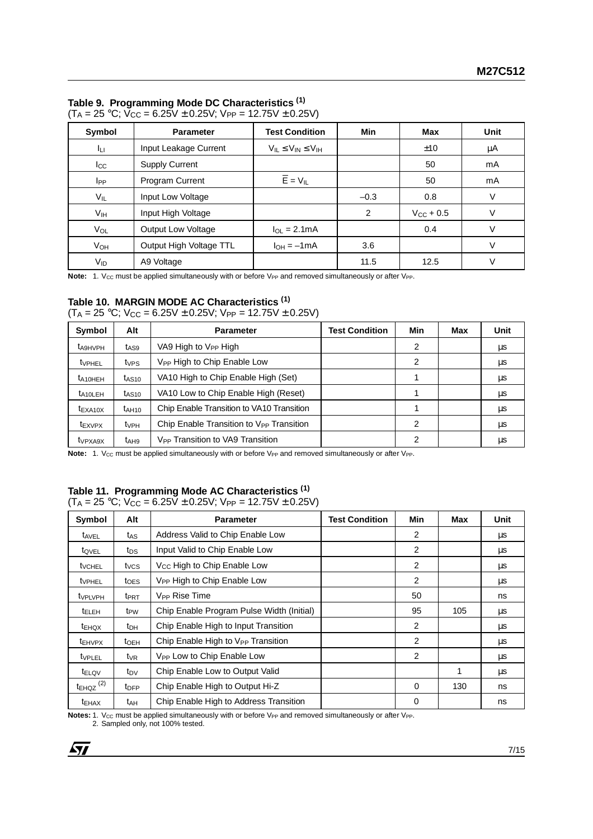#### **Table 9. Programming Mode DC Characteristics (1)**

| .               | -- - - - - - -          |                                  |        |                |             |  |  |  |  |  |  |
|-----------------|-------------------------|----------------------------------|--------|----------------|-------------|--|--|--|--|--|--|
| Symbol          | <b>Parameter</b>        | <b>Test Condition</b>            | Min    | Max            | <b>Unit</b> |  |  |  |  |  |  |
| Iц              | Input Leakage Current   | $V_{IL} \leq V_{IN} \leq V_{IH}$ |        | ±10            | μA          |  |  |  |  |  |  |
| $_{\rm lcc}$    | <b>Supply Current</b>   |                                  |        | 50             | mA          |  |  |  |  |  |  |
| <b>I</b> pp     | Program Current         | $\overline{E}$ = $V_{IL}$        |        | 50             | mA          |  |  |  |  |  |  |
| $V_{IL}$        | Input Low Voltage       |                                  | $-0.3$ | 0.8            | V           |  |  |  |  |  |  |
| V <sub>IH</sub> | Input High Voltage      |                                  | 2      | $V_{CC}$ + 0.5 | V           |  |  |  |  |  |  |
| VOL             | Output Low Voltage      | $I_{\Omega I} = 2.1 \text{mA}$   |        | 0.4            | V           |  |  |  |  |  |  |
| V <sub>OH</sub> | Output High Voltage TTL | $I_{OH} = -1mA$                  | 3.6    |                | $\vee$      |  |  |  |  |  |  |
| V <sub>ID</sub> | A9 Voltage              |                                  | 11.5   | 12.5           | $\vee$      |  |  |  |  |  |  |

 $(T_A = 25 \text{ °C}; \vec{V}_{CC} = 6.25\vec{V} \pm 0.25\vec{V}; \vec{V}_{PP} = 12.75\vec{V} \pm 0.25\vec{V})$ 

Note: 1. V<sub>CC</sub> must be applied simultaneously with or before V<sub>PP</sub> and removed simultaneously or after V<sub>PP</sub>.

#### **Table 10. MARGIN MODE AC Characteristics (1)**

 $(T_A = 25 °C; V_{CC} = 6.25V \pm 0.25V; V_{PP} = 12.75V \pm 0.25V)$ 

| Symbol                    | Alt               | <b>Parameter</b>                                     | <b>Test Condition</b> | <b>Min</b> | Max | <b>Unit</b> |
|---------------------------|-------------------|------------------------------------------------------|-----------------------|------------|-----|-------------|
| <b>t</b> A9HVPH           | t <sub>AS9</sub>  | VA9 High to V <sub>PP</sub> High                     |                       | 2          |     | μs          |
| <b>t</b> <sub>VPHEL</sub> | t <sub>VPS</sub>  | V <sub>PP</sub> High to Chip Enable Low              |                       | 2          |     | μs          |
| t <sub>A10HEH</sub>       | t <sub>AS10</sub> | VA10 High to Chip Enable High (Set)                  |                       |            |     | μs          |
| t <sub>A10</sub> LEH      | t <sub>AS10</sub> | VA10 Low to Chip Enable High (Reset)                 |                       |            |     | μs          |
| $t_{\text{EXA10X}}$       | $t_{A H10}$       | Chip Enable Transition to VA10 Transition            |                       |            |     | μs          |
| t <sub>EXVPX</sub>        | t <sub>VPH</sub>  | Chip Enable Transition to V <sub>PP</sub> Transition |                       | 2          |     | μs          |
| t <sub>VPXA9X</sub>       | t <sub>AH9</sub>  | V <sub>PP</sub> Transition to VA9 Transition         |                       | ົ          |     | μs          |

**Note:** 1. V<sub>CC</sub> must be applied simultaneously with or before V<sub>PP</sub> and removed simultaneously or after V<sub>PP</sub>.

### **Table 11. Programming Mode AC Characteristics (1)**

#### $(T_A = 25 \text{ °C}; V_{CC} = 6.25\text{ V} \pm 0.25\text{ V}; V_{PP} = 12.75\text{ V} \pm 0.25\text{ V})$

| Symbol                     | Alt                     | <b>Parameter</b>                               | <b>Test Condition</b> | Min            | Max | Unit |
|----------------------------|-------------------------|------------------------------------------------|-----------------------|----------------|-----|------|
| t <sub>AVEL</sub>          | t <sub>AS</sub>         | Address Valid to Chip Enable Low               |                       | $\overline{2}$ |     | μs   |
| tovel                      | t <sub>DS</sub>         | Input Valid to Chip Enable Low                 |                       | $\overline{2}$ |     | μs   |
| tvchel                     | tycs                    | V <sub>CC</sub> High to Chip Enable Low        |                       | 2              |     | μs   |
| <b>t</b> VPHEL             | toes                    | V <sub>PP</sub> High to Chip Enable Low        |                       | 2              |     | μs   |
| <b>t</b> <sub>VPLVPH</sub> | <b>t</b> <sub>PRT</sub> | V <sub>PP</sub> Rise Time                      |                       | 50             |     | ns   |
| <sup>t</sup> ELEH          | t <sub>PW</sub>         | Chip Enable Program Pulse Width (Initial)      |                       | 95             | 105 | μs   |
| <sup>t</sup> EHQX          | t <sub>DH</sub>         | Chip Enable High to Input Transition           |                       | 2              |     | μs   |
| <b>t</b> EHVPX             | t <sub>OEH</sub>        | Chip Enable High to V <sub>PP</sub> Transition |                       | 2              |     | μs   |
| tvplel                     | $t_{VR}$                | V <sub>PP</sub> Low to Chip Enable Low         |                       | 2              |     | μs   |
| t <sub>ELQV</sub>          | t <sub>DV</sub>         | Chip Enable Low to Output Valid                |                       |                |     | μs   |
| $t_{EHQZ}$ <sup>(2)</sup>  | <b>t</b> <sub>DFP</sub> | Chip Enable High to Output Hi-Z                |                       | $\Omega$       | 130 | ns   |
| <b>TEHAX</b>               | tдн                     | Chip Enable High to Address Transition         |                       | $\Omega$       |     | ns   |

**Notes:** 1. V<sub>CC</sub> must be applied simultaneously with or before V<sub>PP</sub> and removed simultaneously or after V<sub>PP</sub>.

2. Sampled only, not 100% tested.

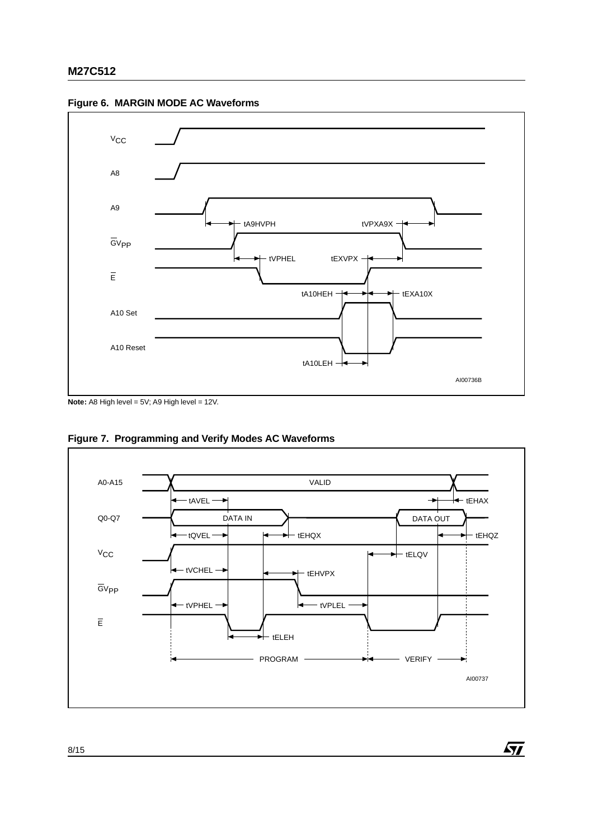

**Figure 6. MARGIN MODE AC Waveforms**

**Note:** A8 High level = 5V; A9 High level = 12V.



 $\sqrt{M}$ 

**Figure 7. Programming and Verify Modes AC Waveforms**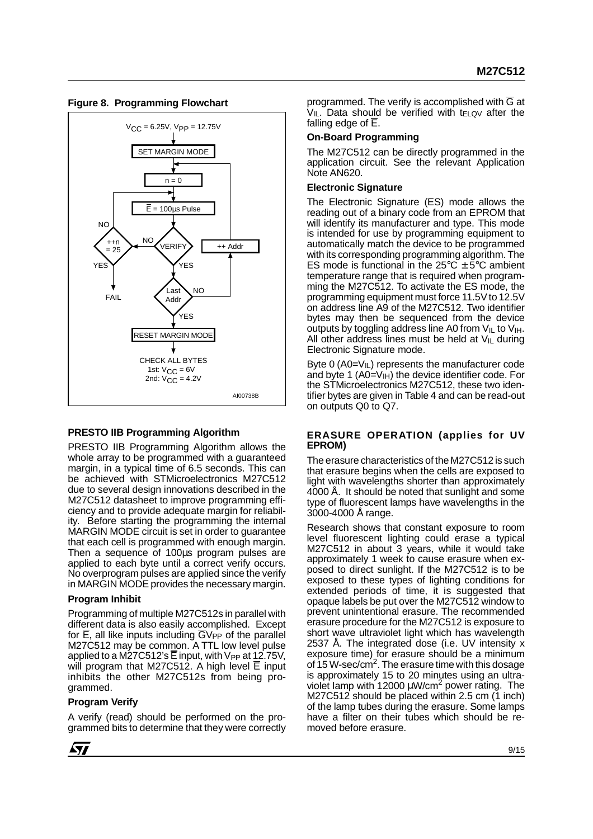

#### **Figure 8. Programming Flowchart**

#### **PRESTO IIB Programming Algorithm**

PRESTO IIB Programming Algorithm allows the whole array to be programmed with a guaranteed margin, in a typical time of 6.5 seconds. This can be achieved with STMicroelectronics M27C512 due to several design innovations described in the M27C512 datasheet to improve programming efficiency and to provide adequate margin for reliability. Before starting the programming the internal MARGIN MODE circuit is set in order to guarantee that each cell is programmed with enough margin. Then a sequence of 100µs program pulses are applied to each byte until a correct verify occurs. No overprogram pulses are applied since the verify in MARGIN MODE provides the necessary margin.

#### **Program Inhibit**

Programming of multiple M27C512s in parallel with different data is also easily accomplished. Except for  $\overline{E}$ , all like inputs including  $\overline{G}V_{PP}$  of the parallel M27C512 may be common. A TTL low level pulse applied to a M27C512's E input, with  $V_{PP}$  at 12.75V, will program that M27C512. A high level E input inhibits the other M27C512s from being programmed.

#### **Program Verify**

A verify (read) should be performed on the programmed bits to determine that they were correctly programmed. The verify is accomplished with  $\overline{G}$  at  $V_{IL}$ . Data should be verified with t $E_{LQV}$  after the falling edge of  $\overline{E}$ .

#### **On-Board Programming**

The M27C512 can be directly programmed in the application circuit. See the relevant Application Note AN620.

#### **Electronic Signature**

The Electronic Signature (ES) mode allows the reading out of a binary code from an EPROM that will identify its manufacturer and type. This mode is intended for use by programming equipment to automatically match the device to be programmed with its corresponding programming algorithm. The ES mode is functional in the  $25^{\circ}$ C  $\pm$  5°C ambient temperature range that is required when programming the M27C512. To activate the ES mode, the programming equipment must force 11.5V to 12.5V on address line A9 of the M27C512. Two identifier bytes may then be sequenced from the device outputs by toggling address line A0 from  $V_{IL}$  to  $V_{IH}$ . All other address lines must be held at  $V_{I}L$  during Electronic Signature mode.

Byte  $0$  (A0= $V_{I}L$ ) represents the manufacturer code and byte 1  $(A0=V_H)$  the device identifier code. For the STMicroelectronics M27C512, these two identifier bytes are given in Table 4 and can be read-out on outputs Q0 to Q7.

#### **ERASURE OPERATION (applies for UV EPROM)**

The erasure characteristics of the M27C512 is such that erasure begins when the cells are exposed to light with wavelengths shorter than approximately 4000 Å. It should be noted that sunlight and some type of fluorescent lamps have wavelengths in the 3000-4000 Å range.

Research shows that constant exposure to room level fluorescent lighting could erase a typical M27C512 in about 3 years, while it would take approximately 1 week to cause erasure when exposed to direct sunlight. If the M27C512 is to be exposed to these types of lighting conditions for extended periods of time, it is suggested that opaque labels be put over the M27C512 window to prevent unintentional erasure. The recommended erasure procedure for the M27C512 is exposure to short wave ultraviolet light which has wavelength 2537 Å. The integrated dose (i.e. UV intensity x exposure time) for erasure should be a minimum of 15 W-sec/cm $^2$ . The erasure time with this dosage is approximately 15 to 20 minutes using an ultraviolet lamp with 12000  $\mu$ W/cm<sup>2</sup> power rating. The M27C512 should be placed within 2.5 cm (1 inch) of the lamp tubes during the erasure. Some lamps have a filter on their tubes which should be removed before erasure.

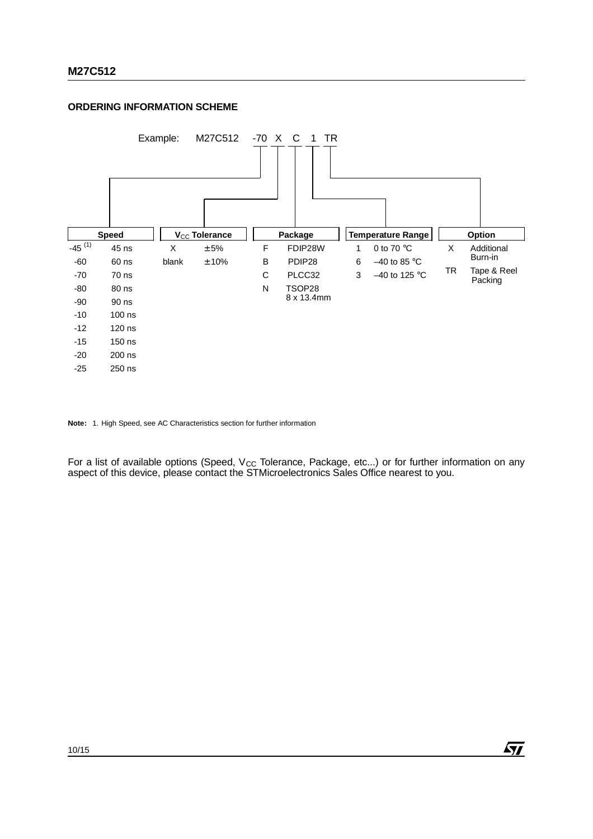#### **ORDERING INFORMATION SCHEME**



**Note:** 1. High Speed, see AC Characteristics section for further information

For a list of available options (Speed, V<sub>CC</sub> Tolerance, Package, etc...) or for further information on any aspect of this device, please contact the STMicroelectronics Sales Office nearest to you.

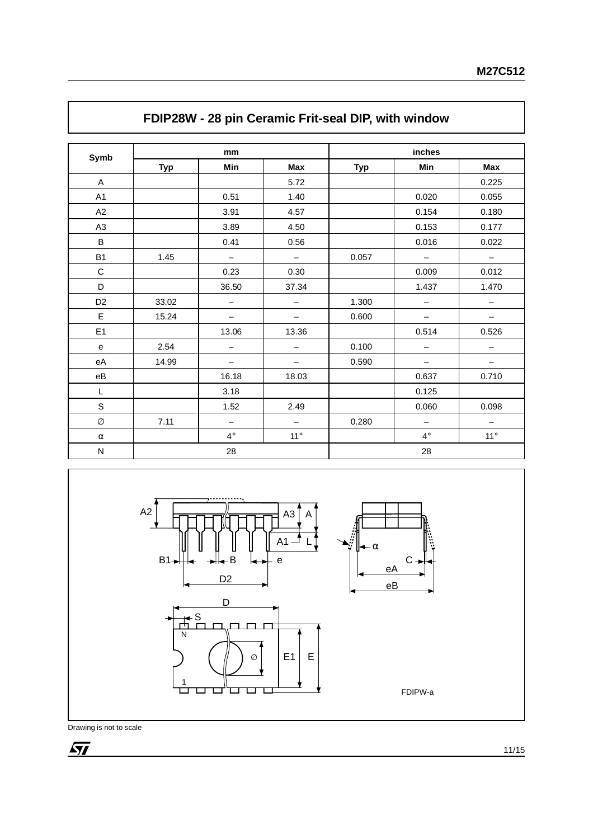| Symb           | mm         |                          |                          | inches     |                          |                          |
|----------------|------------|--------------------------|--------------------------|------------|--------------------------|--------------------------|
|                | <b>Typ</b> | Min                      | <b>Max</b>               | <b>Typ</b> | Min                      | <b>Max</b>               |
| $\mathsf{A}$   |            |                          | 5.72                     |            |                          | 0.225                    |
| A <sub>1</sub> |            | 0.51                     | 1.40                     |            | 0.020                    | 0.055                    |
| A2             |            | 3.91                     | 4.57                     |            | 0.154                    | 0.180                    |
| A <sub>3</sub> |            | 3.89                     | 4.50                     |            | 0.153                    | 0.177                    |
| B              |            | 0.41                     | 0.56                     |            | 0.016                    | 0.022                    |
| <b>B1</b>      | 1.45       | $\qquad \qquad -$        | $-$                      | 0.057      | $\overline{\phantom{m}}$ | $\overline{\phantom{m}}$ |
| $\mathsf{C}$   |            | 0.23                     | 0.30                     |            | 0.009                    | 0.012                    |
| D              |            | 36.50                    | 37.34                    |            | 1.437                    | 1.470                    |
| D <sub>2</sub> | 33.02      | $\overline{\phantom{0}}$ | $\qquad \qquad -$        | 1.300      | $\qquad \qquad -$        | $\qquad \qquad -$        |
| Е              | 15.24      | $\qquad \qquad -$        | $-$                      | 0.600      | $\qquad \qquad -$        | $\qquad \qquad -$        |
| E1             |            | 13.06                    | 13.36                    |            | 0.514                    | 0.526                    |
| e              | 2.54       | $\qquad \qquad -$        | $\qquad \qquad -$        | 0.100      | $\overline{\phantom{m}}$ |                          |
| eA             | 14.99      | $\overline{\phantom{m}}$ | -                        | 0.590      | $\qquad \qquad -$        | $\qquad \qquad -$        |
| eB             |            | 16.18                    | 18.03                    |            | 0.637                    | 0.710                    |
| L              |            | 3.18                     |                          |            | 0.125                    |                          |
| $\mathsf S$    |            | 1.52                     | 2.49                     |            | 0.060                    | 0.098                    |
| Ø              | 7.11       | $\overline{\phantom{m}}$ | $\overline{\phantom{m}}$ | 0.280      | $\overline{\phantom{m}}$ | $\qquad \qquad -$        |
| $\alpha$       |            | $4^\circ$                | $11^{\circ}$             |            | $4^\circ$                | $11^{\circ}$             |
| N              | 28         |                          |                          | 28         |                          |                          |

## **FDIP28W - 28 pin Ceramic Frit-seal DIP, with window**

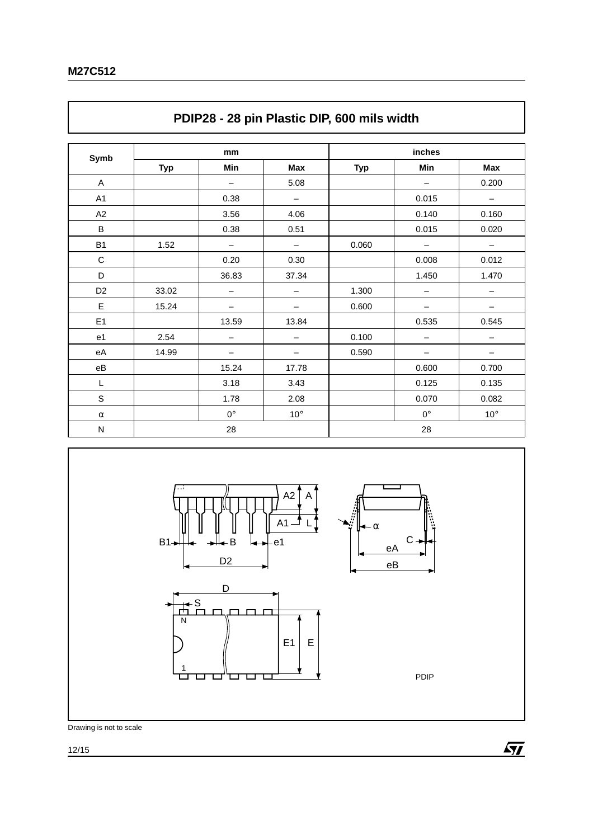| Symb                   | mm         |                          |                   | inches     |                          |                          |
|------------------------|------------|--------------------------|-------------------|------------|--------------------------|--------------------------|
|                        | <b>Typ</b> | Min                      | Max               | <b>Typ</b> | Min                      | Max                      |
| A                      |            | $\overline{\phantom{m}}$ | 5.08              |            | $\overline{\phantom{m}}$ | 0.200                    |
| A1                     |            | 0.38                     | $\qquad \qquad -$ |            | 0.015                    | $\overline{\phantom{0}}$ |
| A2                     |            | 3.56                     | 4.06              |            | 0.140                    | 0.160                    |
| B                      |            | 0.38                     | 0.51              |            | 0.015                    | 0.020                    |
| <b>B1</b>              | 1.52       | $\overline{\phantom{m}}$ | —                 | 0.060      | $\overline{\phantom{m}}$ | -                        |
| $\mathbf C$            |            | 0.20                     | 0.30              |            | 0.008                    | 0.012                    |
| D                      |            | 36.83                    | 37.34             |            | 1.450                    | 1.470                    |
| D <sub>2</sub>         | 33.02      |                          | —                 | 1.300      |                          | —                        |
| E                      | 15.24      | $\overline{\phantom{0}}$ | —                 | 0.600      |                          |                          |
| E <sub>1</sub>         |            | 13.59                    | 13.84             |            | 0.535                    | 0.545                    |
| e1                     | 2.54       | —                        | —                 | 0.100      | —                        |                          |
| eA                     | 14.99      |                          | —                 | 0.590      |                          |                          |
| $\mathsf{e}\mathsf{B}$ |            | 15.24                    | 17.78             |            | 0.600                    | 0.700                    |
| L                      |            | 3.18                     | 3.43              |            | 0.125                    | 0.135                    |
| $\mathsf S$            |            | 1.78                     | 2.08              |            | 0.070                    | 0.082                    |
| $\alpha$               |            | $0^{\circ}$              | $10^{\circ}$      |            | $0^{\circ}$              | $10^{\circ}$             |
| ${\sf N}$              |            | 28                       |                   |            | 28                       |                          |



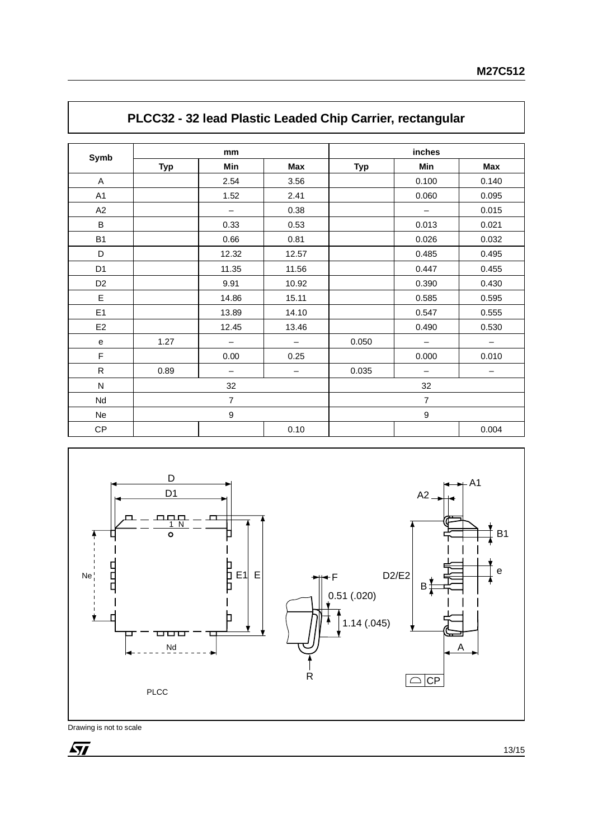| Symb           | mm             |                          |                   | inches         |                          |                 |  |
|----------------|----------------|--------------------------|-------------------|----------------|--------------------------|-----------------|--|
|                | <b>Typ</b>     | Min                      | Max               | <b>Typ</b>     | Min                      | Max             |  |
| $\mathsf{A}$   |                | 2.54                     | 3.56              |                | 0.100                    | 0.140           |  |
| A <sub>1</sub> |                | 1.52                     | 2.41              |                | 0.060                    | 0.095           |  |
| A2             |                | $\overline{\phantom{m}}$ | 0.38              |                | $\overline{\phantom{m}}$ | 0.015           |  |
| B              |                | 0.33                     | 0.53              |                | 0.013                    | 0.021           |  |
| <b>B1</b>      |                | 0.66                     | 0.81              |                | 0.026                    | 0.032           |  |
| D              |                | 12.32                    | 12.57             |                | 0.485                    | 0.495           |  |
| D <sub>1</sub> |                | 11.35                    | 11.56             |                | 0.447                    | 0.455           |  |
| D <sub>2</sub> |                | 9.91                     | 10.92             |                | 0.390                    | 0.430           |  |
| E              |                | 14.86                    | 15.11             |                | 0.585                    | 0.595           |  |
| E1             |                | 13.89                    | 14.10             |                | 0.547                    | 0.555           |  |
| E <sub>2</sub> |                | 12.45                    | 13.46             |                | 0.490                    | 0.530           |  |
| ${\bf e}$      | 1.27           | $\overline{\phantom{m}}$ | $\qquad \qquad -$ | 0.050          | $\overline{\phantom{m}}$ | $-$             |  |
| $\mathsf F$    |                | 0.00                     | 0.25              |                | 0.000                    | 0.010           |  |
| $\mathsf{R}$   | 0.89           | $\qquad \qquad -$        | -                 | 0.035          | $\qquad \qquad -$        | $\qquad \qquad$ |  |
| ${\sf N}$      | 32             |                          |                   | 32             |                          |                 |  |
| Nd             | $\overline{7}$ |                          |                   | $\overline{7}$ |                          |                 |  |
| Ne             |                | 9                        |                   |                | $\boldsymbol{9}$         |                 |  |
| CP             |                |                          | 0.10              |                |                          | 0.004           |  |

## **PLCC32 - 32 lead Plastic Leaded Chip Carrier, rectangular**

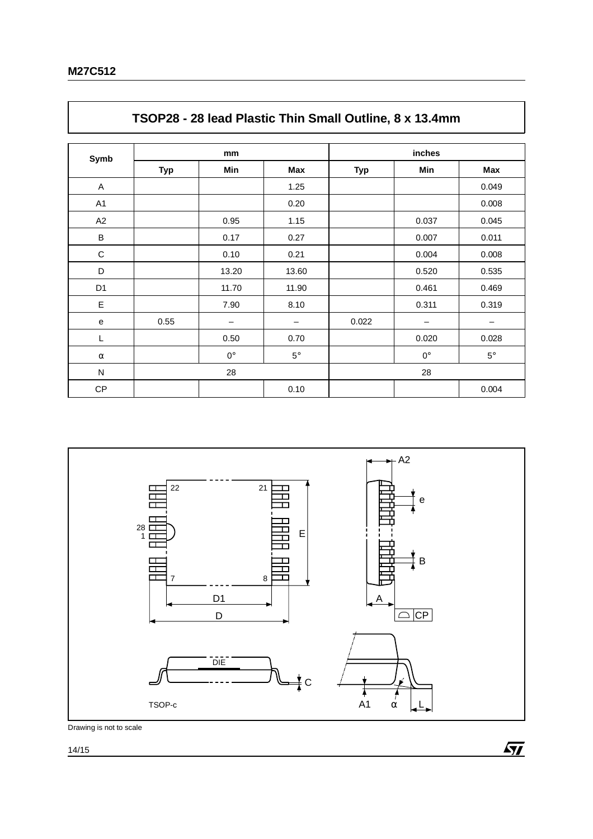| Symb           | mm         |           |           | inches     |             |           |  |
|----------------|------------|-----------|-----------|------------|-------------|-----------|--|
|                | <b>Typ</b> | Min       | Max       | <b>Typ</b> | Min         | Max       |  |
| Α              |            |           | 1.25      |            |             | 0.049     |  |
| A1             |            |           | 0.20      |            |             | 0.008     |  |
| A2             |            | 0.95      | 1.15      |            | 0.037       | 0.045     |  |
| B              |            | 0.17      | 0.27      |            | 0.007       | 0.011     |  |
| $\mathbf C$    |            | 0.10      | 0.21      |            | 0.004       | 0.008     |  |
| D              |            | 13.20     | 13.60     |            | 0.520       | 0.535     |  |
| D <sub>1</sub> |            | 11.70     | 11.90     |            | 0.461       | 0.469     |  |
| E              |            | 7.90      | 8.10      |            | 0.311       | 0.319     |  |
| ${\bf e}$      | 0.55       |           | —         | 0.022      | -           | —         |  |
| L              |            | 0.50      | 0.70      |            | 0.020       | 0.028     |  |
| $\alpha$       |            | $0^\circ$ | $5^\circ$ |            | $0^{\circ}$ | $5^\circ$ |  |
| ${\sf N}$      | 28         |           |           | 28         |             |           |  |
| CP             |            |           | 0.10      |            |             | 0.004     |  |

## **TSOP28 - 28 lead Plastic Thin Small Outline, 8 x 13.4mm**